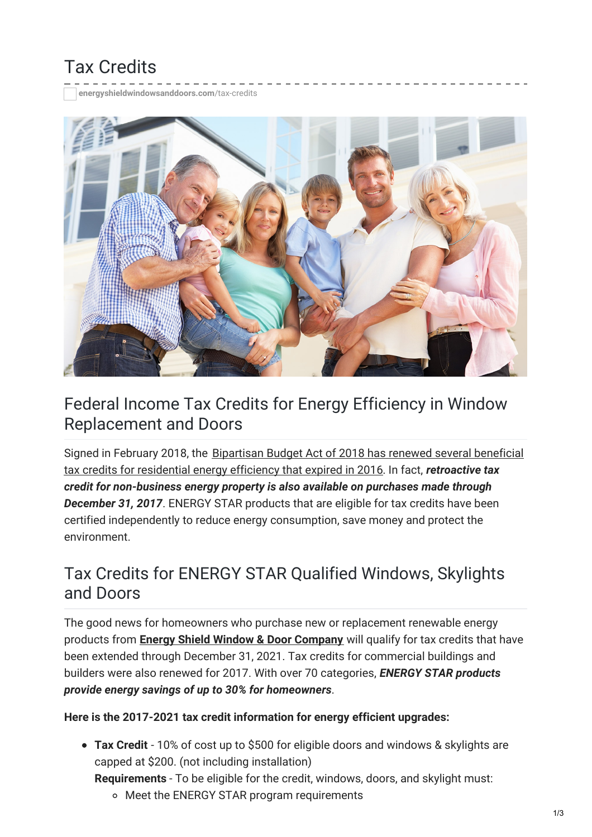# Tax Credits

**[energyshieldwindowsanddoors.com](https://energyshieldwindowsanddoors.com/tax-credits/)**/tax-credits



### Federal Income Tax Credits for Energy Efficiency in Window Replacement and Doors

Signed in February 2018, the Bipartisan Budget Act of 2018 has renewed several beneficial tax credits for residential energy efficiency that expired in 2016. In fact, *[retroactive](https://www.energystar.gov/about/federal_tax_credits) tax credit for non-business energy property is also available on purchases made through December 31, 2017*. ENERGY STAR products that are eligible for tax credits have been certified independently to reduce energy consumption, save money and protect the environment.

### Tax Credits for ENERGY STAR Qualified Windows, Skylights and Doors

The good news for homeowners who purchase new or replacement renewable energy products from **Energy Shield Window & Door [Company](https://energyshieldwindowsanddoors.com/)** will qualify for tax credits that have been extended through December 31, 2021. Tax credits for commercial buildings and builders were also renewed for 2017. With over 70 categories, *ENERGY STAR products provide energy savings of up to 30% for homeowners*.

#### **Here is the 2017-2021 tax credit information for energy efficient upgrades:**

**Tax Credit** - 10% of cost up to \$500 for eligible doors and windows & skylights are capped at \$200. (not including installation)

**Requirements** - To be eligible for the credit, windows, doors, and skylight must:

o Meet the ENERGY STAR program requirements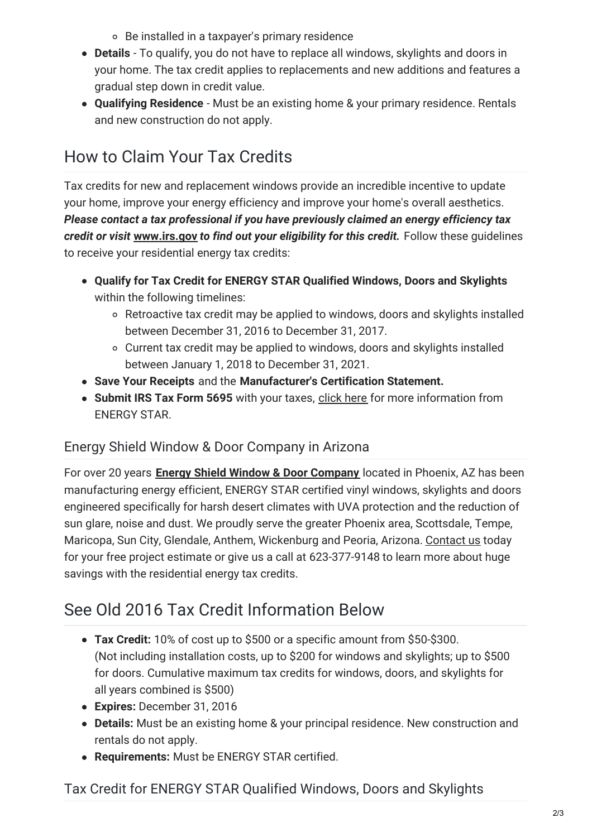Be installed in a taxpayer's primary residence

- **Details** To qualify, you do not have to replace all windows, skylights and doors in your home. The tax credit applies to replacements and new additions and features a gradual step down in credit value.
- **Qualifying Residence** Must be an existing home & your primary residence. Rentals and new construction do not apply.

## How to Claim Your Tax Credits

Tax credits for new and replacement windows provide an incredible incentive to update your home, improve your energy efficiency and improve your home's overall aesthetics. *Please contact a tax professional if you have previously claimed an energy efficiency tax credit or visit* **[www.irs.gov](http://www.irs.gov/)** *to find out your eligibility for this credit.* Follow these guidelines to receive your residential energy tax credits:

- **Qualify for Tax Credit for ENERGY STAR Qualified Windows, Doors and Skylights** within the following timelines:
	- Retroactive tax credit may be applied to windows, doors and skylights installed between December 31, 2016 to December 31, 2017.
	- Current tax credit may be applied to windows, doors and skylights installed between January 1, 2018 to December 31, 2021.
- **Save Your Receipts** and the **Manufacturer's Certification Statement.**
- **Submit IRS Tax Form 5695** with your taxes, [click](https://energystar.zendesk.com/hc/en-us/articles/211437868-How-do-I-apply-for-the-tax-credit-What-tax-form-do-I-need-for-the-energy-efficiency-tax-credits-) here for more information from ENERGY STAR.

### Energy Shield Window & Door Company in Arizona

For over 20 years **Energy Shield Window & Door [Company](https://energyshieldwindowsanddoors.com/about/)** located in Phoenix, AZ has been manufacturing energy efficient, ENERGY STAR certified vinyl windows, skylights and doors engineered specifically for harsh desert climates with UVA protection and the reduction of sun glare, noise and dust. We proudly serve the greater Phoenix area, Scottsdale, Tempe, Maricopa, Sun City, Glendale, Anthem, Wickenburg and Peoria, Arizona. [Contact](https://energyshieldwindowsanddoors.com/contact/) us today for your free project estimate or give us a call at 623-377-9148 to learn more about huge savings with the residential energy tax credits.

## See Old 2016 Tax Credit Information Below

- **Tax Credit:** 10% of cost up to \$500 or a specific amount from \$50-\$300. (Not including installation costs, up to \$200 for windows and skylights; up to \$500 for doors. Cumulative maximum tax credits for windows, doors, and skylights for all years combined is \$500)
- **Expires:** December 31, 2016
- **Details:** Must be an existing home & your principal residence. New construction and rentals do not apply.
- **Requirements:** Must be ENERGY STAR certified.

Tax Credit for ENERGY STAR Qualified Windows, Doors and Skylights